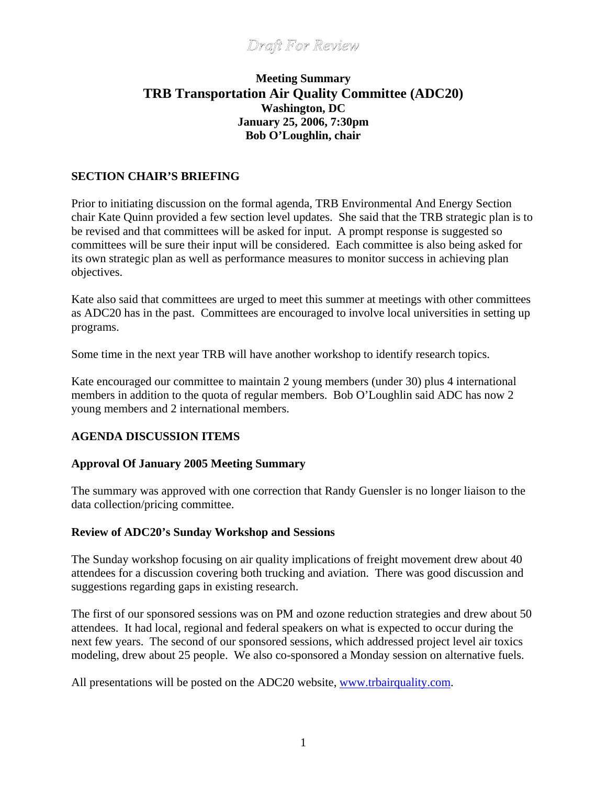## **Meeting Summary TRB Transportation Air Quality Committee (ADC20) Washington, DC January 25, 2006, 7:30pm Bob O'Loughlin, chair**

#### **SECTION CHAIR'S BRIEFING**

Prior to initiating discussion on the formal agenda, TRB Environmental And Energy Section chair Kate Quinn provided a few section level updates. She said that the TRB strategic plan is to be revised and that committees will be asked for input. A prompt response is suggested so committees will be sure their input will be considered. Each committee is also being asked for its own strategic plan as well as performance measures to monitor success in achieving plan objectives.

Kate also said that committees are urged to meet this summer at meetings with other committees as ADC20 has in the past. Committees are encouraged to involve local universities in setting up programs.

Some time in the next year TRB will have another workshop to identify research topics.

Kate encouraged our committee to maintain 2 young members (under 30) plus 4 international members in addition to the quota of regular members. Bob O'Loughlin said ADC has now 2 young members and 2 international members.

### **AGENDA DISCUSSION ITEMS**

#### **Approval Of January 2005 Meeting Summary**

The summary was approved with one correction that Randy Guensler is no longer liaison to the data collection/pricing committee.

#### **Review of ADC20's Sunday Workshop and Sessions**

The Sunday workshop focusing on air quality implications of freight movement drew about 40 attendees for a discussion covering both trucking and aviation. There was good discussion and suggestions regarding gaps in existing research.

The first of our sponsored sessions was on PM and ozone reduction strategies and drew about 50 attendees. It had local, regional and federal speakers on what is expected to occur during the next few years. The second of our sponsored sessions, which addressed project level air toxics modeling, drew about 25 people. We also co-sponsored a Monday session on alternative fuels.

All presentations will be posted on the ADC20 website, [www.trbairquality.com.](http://www.trbairquality.com/)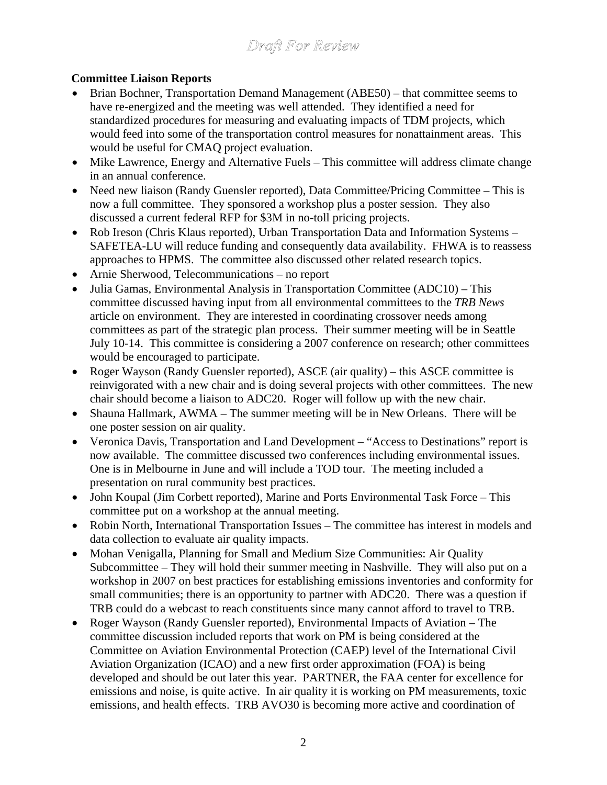## **Committee Liaison Reports**

- Brian Bochner, Transportation Demand Management (ABE50) that committee seems to have re-energized and the meeting was well attended. They identified a need for standardized procedures for measuring and evaluating impacts of TDM projects, which would feed into some of the transportation control measures for nonattainment areas. This would be useful for CMAQ project evaluation.
- Mike Lawrence, Energy and Alternative Fuels This committee will address climate change in an annual conference.
- Need new liaison (Randy Guensler reported), Data Committee/Pricing Committee This is now a full committee. They sponsored a workshop plus a poster session. They also discussed a current federal RFP for \$3M in no-toll pricing projects.
- Rob Ireson (Chris Klaus reported), Urban Transportation Data and Information Systems SAFETEA-LU will reduce funding and consequently data availability. FHWA is to reassess approaches to HPMS. The committee also discussed other related research topics.
- Arnie Sherwood, Telecommunications no report
- Julia Gamas, Environmental Analysis in Transportation Committee (ADC10) This committee discussed having input from all environmental committees to the *TRB News* article on environment. They are interested in coordinating crossover needs among committees as part of the strategic plan process. Their summer meeting will be in Seattle July 10-14. This committee is considering a 2007 conference on research; other committees would be encouraged to participate.
- Roger Wayson (Randy Guensler reported), ASCE (air quality) this ASCE committee is reinvigorated with a new chair and is doing several projects with other committees. The new chair should become a liaison to ADC20. Roger will follow up with the new chair.
- Shauna Hallmark, AWMA The summer meeting will be in New Orleans. There will be one poster session on air quality.
- Veronica Davis, Transportation and Land Development "Access to Destinations" report is now available. The committee discussed two conferences including environmental issues. One is in Melbourne in June and will include a TOD tour. The meeting included a presentation on rural community best practices.
- John Koupal (Jim Corbett reported), Marine and Ports Environmental Task Force This committee put on a workshop at the annual meeting.
- Robin North, International Transportation Issues The committee has interest in models and data collection to evaluate air quality impacts.
- Mohan Venigalla, Planning for Small and Medium Size Communities: Air Quality Subcommittee – They will hold their summer meeting in Nashville. They will also put on a workshop in 2007 on best practices for establishing emissions inventories and conformity for small communities; there is an opportunity to partner with ADC20. There was a question if TRB could do a webcast to reach constituents since many cannot afford to travel to TRB.
- Roger Wayson (Randy Guensler reported), Environmental Impacts of Aviation The committee discussion included reports that work on PM is being considered at the Committee on Aviation Environmental Protection (CAEP) level of the International Civil Aviation Organization (ICAO) and a new first order approximation (FOA) is being developed and should be out later this year. PARTNER, the FAA center for excellence for emissions and noise, is quite active. In air quality it is working on PM measurements, toxic emissions, and health effects. TRB AVO30 is becoming more active and coordination of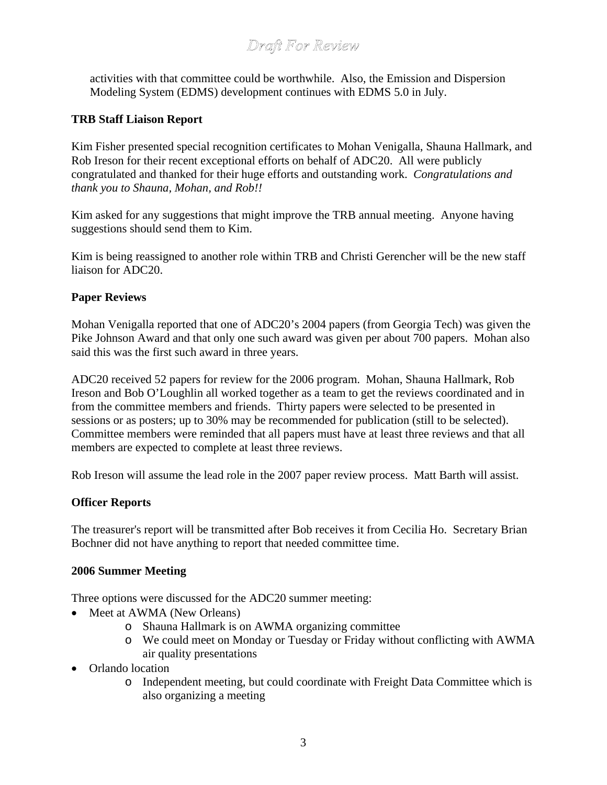activities with that committee could be worthwhile. Also, the Emission and Dispersion Modeling System (EDMS) development continues with EDMS 5.0 in July.

### **TRB Staff Liaison Report**

Kim Fisher presented special recognition certificates to Mohan Venigalla, Shauna Hallmark, and Rob Ireson for their recent exceptional efforts on behalf of ADC20. All were publicly congratulated and thanked for their huge efforts and outstanding work. *Congratulations and thank you to Shauna, Mohan, and Rob!!* 

Kim asked for any suggestions that might improve the TRB annual meeting. Anyone having suggestions should send them to Kim.

Kim is being reassigned to another role within TRB and Christi Gerencher will be the new staff liaison for ADC20.

### **Paper Reviews**

Mohan Venigalla reported that one of ADC20's 2004 papers (from Georgia Tech) was given the Pike Johnson Award and that only one such award was given per about 700 papers. Mohan also said this was the first such award in three years.

ADC20 received 52 papers for review for the 2006 program. Mohan, Shauna Hallmark, Rob Ireson and Bob O'Loughlin all worked together as a team to get the reviews coordinated and in from the committee members and friends. Thirty papers were selected to be presented in sessions or as posters; up to 30% may be recommended for publication (still to be selected). Committee members were reminded that all papers must have at least three reviews and that all members are expected to complete at least three reviews.

Rob Ireson will assume the lead role in the 2007 paper review process. Matt Barth will assist.

### **Officer Reports**

The treasurer's report will be transmitted after Bob receives it from Cecilia Ho. Secretary Brian Bochner did not have anything to report that needed committee time.

### **2006 Summer Meeting**

Three options were discussed for the ADC20 summer meeting:

- Meet at AWMA (New Orleans)
	- o Shauna Hallmark is on AWMA organizing committee
	- o We could meet on Monday or Tuesday or Friday without conflicting with AWMA air quality presentations
- Orlando location
	- o Independent meeting, but could coordinate with Freight Data Committee which is also organizing a meeting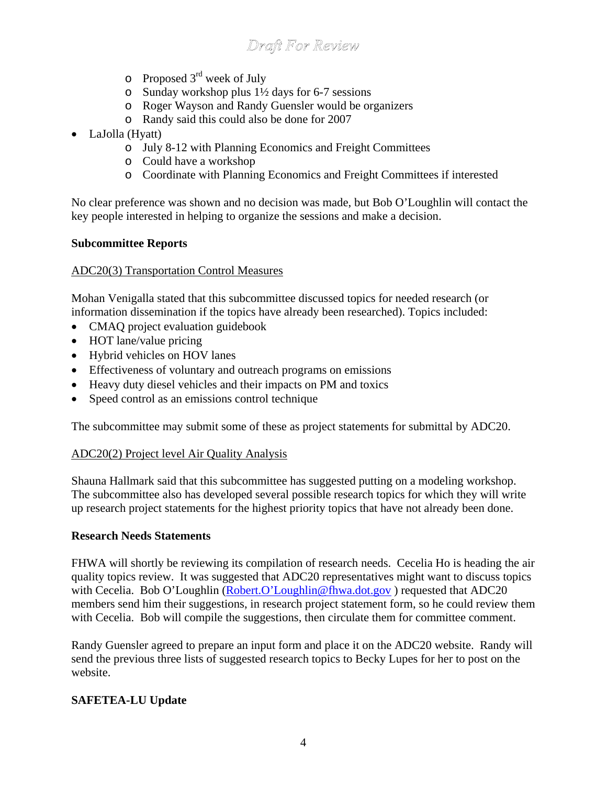- $\circ$  Proposed 3<sup>rd</sup> week of July
- o Sunday workshop plus 1½ days for 6-7 sessions
- o Roger Wayson and Randy Guensler would be organizers
- o Randy said this could also be done for 2007
- LaJolla (Hyatt)
	- o July 8-12 with Planning Economics and Freight Committees
	- o Could have a workshop
	- o Coordinate with Planning Economics and Freight Committees if interested

No clear preference was shown and no decision was made, but Bob O'Loughlin will contact the key people interested in helping to organize the sessions and make a decision.

#### **Subcommittee Reports**

#### ADC20(3) Transportation Control Measures

Mohan Venigalla stated that this subcommittee discussed topics for needed research (or information dissemination if the topics have already been researched). Topics included:

- CMAQ project evaluation guidebook
- HOT lane/value pricing
- Hybrid vehicles on HOV lanes
- Effectiveness of voluntary and outreach programs on emissions
- Heavy duty diesel vehicles and their impacts on PM and toxics
- Speed control as an emissions control technique

The subcommittee may submit some of these as project statements for submittal by ADC20.

#### ADC20(2) Project level Air Quality Analysis

Shauna Hallmark said that this subcommittee has suggested putting on a modeling workshop. The subcommittee also has developed several possible research topics for which they will write up research project statements for the highest priority topics that have not already been done.

#### **Research Needs Statements**

FHWA will shortly be reviewing its compilation of research needs. Cecelia Ho is heading the air quality topics review. It was suggested that ADC20 representatives might want to discuss topics with Cecelia. Bob O'Loughlin (Robert.O'Loughlin@fhwa.dot.gov) requested that ADC20 members send him their suggestions, in research project statement form, so he could review them with Cecelia. Bob will compile the suggestions, then circulate them for committee comment.

Randy Guensler agreed to prepare an input form and place it on the ADC20 website. Randy will send the previous three lists of suggested research topics to Becky Lupes for her to post on the website.

### **SAFETEA-LU Update**